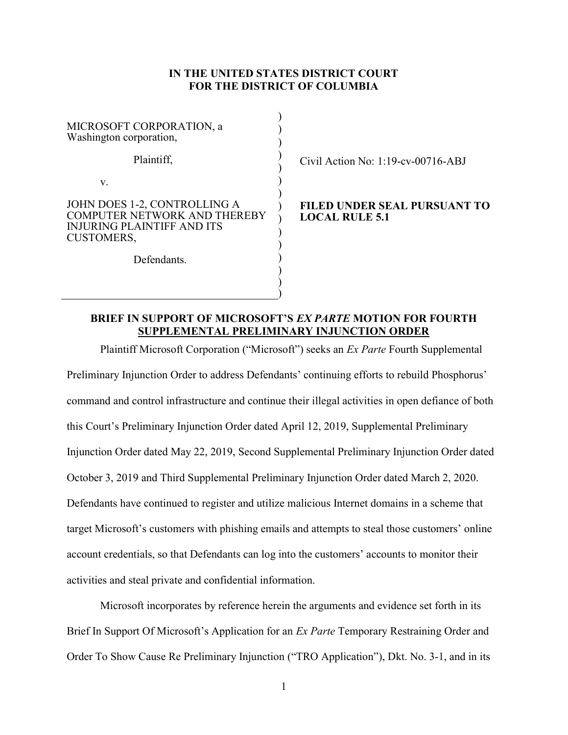### IN THE UNITED STATES DISTRICT COURT FOR THE DISTRICT OF COLUMBIA

| MICROSOFT CORPORATION, a<br>Washington corporation,                                                                           |  |
|-------------------------------------------------------------------------------------------------------------------------------|--|
| Plaintiff,                                                                                                                    |  |
| V.                                                                                                                            |  |
| JOHN DOES 1-2, CONTROLLING A<br><b>COMPUTER NETWORK AND THEREBY</b><br><b>INJURING PLAINTIFF AND ITS</b><br><b>CUSTOMERS,</b> |  |
| Defendants                                                                                                                    |  |

Civil Action No: 1:19-cv-00716-ABJ

#### FILED UNDER SEAL PURSUANT TO LOCAL RULE 5.1

## BRIEF IN SUPPORT OF MICROSOFT'S EX PARTE MOTION FOR FOURTH SUPPLEMENTAL PRELIMINARY INJUNCTION ORDER

 $\mathcal{L}$ )

Plaintiff Microsoft Corporation ("Microsoft") seeks an Ex Parte Fourth Supplemental Preliminary Injunction Order to address Defendants' continuing efforts to rebuild Phosphorus' command and control infrastructure and continue their illegal activities in open defiance of both this Court's Preliminary Injunction Order dated April 12, 2019, Supplemental Preliminary Injunction Order dated May 22, 2019, Second Supplemental Preliminary Injunction Order dated October 3, 2019 and Third Supplemental Preliminary Injunction Order dated March 2, 2020. Defendants have continued to register and utilize malicious Internet domains in a scheme that target Microsoft's customers with phishing emails and attempts to steal those customers' online account credentials, so that Defendants can log into the customers' accounts to monitor their activities and steal private and confidential information.

Microsoft incorporates by reference herein the arguments and evidence set forth in its Brief In Support Of Microsoft's Application for an *Ex Parte* Temporary Restraining Order and Order To Show Cause Re Preliminary Injunction ("TRO Application"), Dkt. No. 3-1, and in its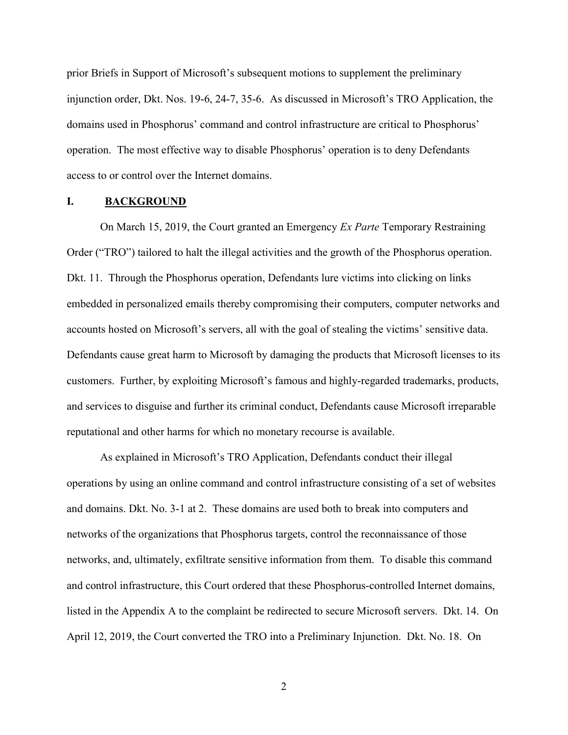prior Briefs in Support of Microsoft's subsequent motions to supplement the preliminary injunction order, Dkt. Nos. 19-6, 24-7, 35-6. As discussed in Microsoft's TRO Application, the domains used in Phosphorus' command and control infrastructure are critical to Phosphorus' operation. The most effective way to disable Phosphorus' operation is to deny Defendants access to or control over the Internet domains.

## I. BACKGROUND

On March 15, 2019, the Court granted an Emergency Ex Parte Temporary Restraining Order ("TRO") tailored to halt the illegal activities and the growth of the Phosphorus operation. Dkt. 11. Through the Phosphorus operation, Defendants lure victims into clicking on links embedded in personalized emails thereby compromising their computers, computer networks and accounts hosted on Microsoft's servers, all with the goal of stealing the victims' sensitive data. Defendants cause great harm to Microsoft by damaging the products that Microsoft licenses to its customers. Further, by exploiting Microsoft's famous and highly-regarded trademarks, products, and services to disguise and further its criminal conduct, Defendants cause Microsoft irreparable reputational and other harms for which no monetary recourse is available.

As explained in Microsoft's TRO Application, Defendants conduct their illegal operations by using an online command and control infrastructure consisting of a set of websites and domains. Dkt. No. 3-1 at 2. These domains are used both to break into computers and networks of the organizations that Phosphorus targets, control the reconnaissance of those networks, and, ultimately, exfiltrate sensitive information from them. To disable this command and control infrastructure, this Court ordered that these Phosphorus-controlled Internet domains, listed in the Appendix A to the complaint be redirected to secure Microsoft servers. Dkt. 14. On April 12, 2019, the Court converted the TRO into a Preliminary Injunction. Dkt. No. 18. On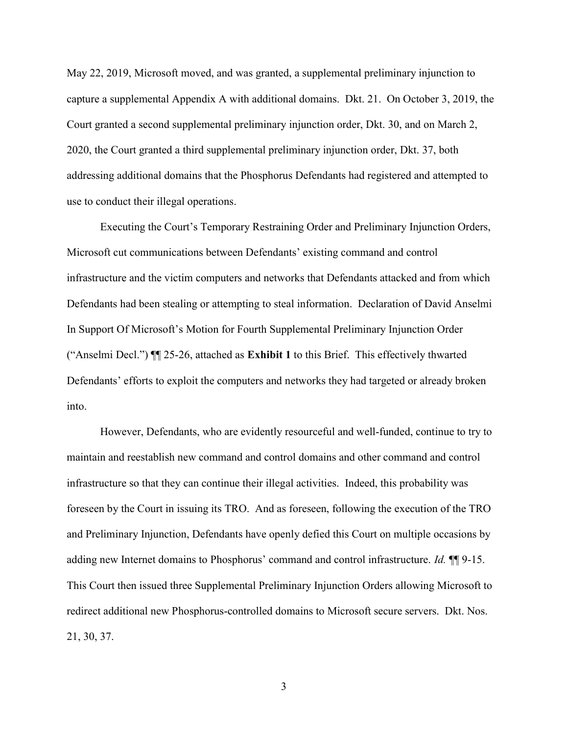May 22, 2019, Microsoft moved, and was granted, a supplemental preliminary injunction to capture a supplemental Appendix A with additional domains. Dkt. 21. On October 3, 2019, the Court granted a second supplemental preliminary injunction order, Dkt. 30, and on March 2, 2020, the Court granted a third supplemental preliminary injunction order, Dkt. 37, both addressing additional domains that the Phosphorus Defendants had registered and attempted to use to conduct their illegal operations.

Executing the Court's Temporary Restraining Order and Preliminary Injunction Orders, Microsoft cut communications between Defendants' existing command and control infrastructure and the victim computers and networks that Defendants attacked and from which Defendants had been stealing or attempting to steal information. Declaration of David Anselmi In Support Of Microsoft's Motion for Fourth Supplemental Preliminary Injunction Order ("Anselmi Decl.") ¶¶ 25-26, attached as Exhibit 1 to this Brief. This effectively thwarted Defendants' efforts to exploit the computers and networks they had targeted or already broken into.

However, Defendants, who are evidently resourceful and well-funded, continue to try to maintain and reestablish new command and control domains and other command and control infrastructure so that they can continue their illegal activities. Indeed, this probability was foreseen by the Court in issuing its TRO. And as foreseen, following the execution of the TRO and Preliminary Injunction, Defendants have openly defied this Court on multiple occasions by adding new Internet domains to Phosphorus' command and control infrastructure. Id.  $\P$  9-15. This Court then issued three Supplemental Preliminary Injunction Orders allowing Microsoft to redirect additional new Phosphorus-controlled domains to Microsoft secure servers. Dkt. Nos. 21, 30, 37.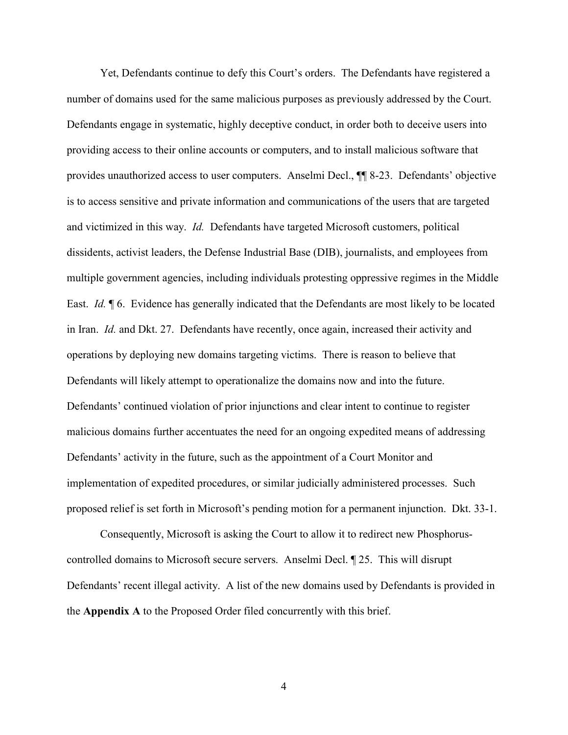Yet, Defendants continue to defy this Court's orders. The Defendants have registered a number of domains used for the same malicious purposes as previously addressed by the Court. Defendants engage in systematic, highly deceptive conduct, in order both to deceive users into providing access to their online accounts or computers, and to install malicious software that provides unauthorized access to user computers. Anselmi Decl., ¶¶ 8-23. Defendants' objective is to access sensitive and private information and communications of the users that are targeted and victimized in this way. Id. Defendants have targeted Microsoft customers, political dissidents, activist leaders, the Defense Industrial Base (DIB), journalists, and employees from multiple government agencies, including individuals protesting oppressive regimes in the Middle East. Id. ¶ 6. Evidence has generally indicated that the Defendants are most likely to be located in Iran. Id. and Dkt. 27. Defendants have recently, once again, increased their activity and operations by deploying new domains targeting victims. There is reason to believe that Defendants will likely attempt to operationalize the domains now and into the future. Defendants' continued violation of prior injunctions and clear intent to continue to register malicious domains further accentuates the need for an ongoing expedited means of addressing Defendants' activity in the future, such as the appointment of a Court Monitor and implementation of expedited procedures, or similar judicially administered processes. Such proposed relief is set forth in Microsoft's pending motion for a permanent injunction. Dkt. 33-1.

Consequently, Microsoft is asking the Court to allow it to redirect new Phosphoruscontrolled domains to Microsoft secure servers. Anselmi Decl. ¶ 25. This will disrupt Defendants' recent illegal activity. A list of the new domains used by Defendants is provided in the Appendix A to the Proposed Order filed concurrently with this brief.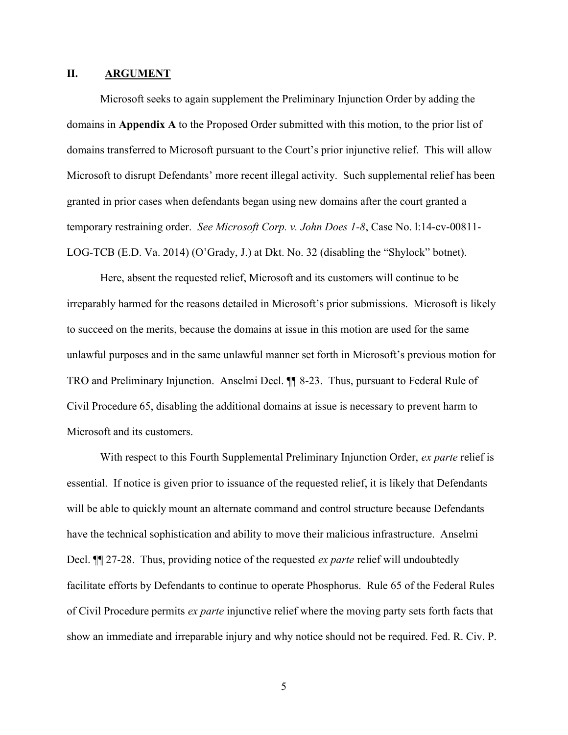#### II. ARGUMENT

Microsoft seeks to again supplement the Preliminary Injunction Order by adding the domains in Appendix A to the Proposed Order submitted with this motion, to the prior list of domains transferred to Microsoft pursuant to the Court's prior injunctive relief. This will allow Microsoft to disrupt Defendants' more recent illegal activity. Such supplemental relief has been granted in prior cases when defendants began using new domains after the court granted a temporary restraining order. See Microsoft Corp. v. John Does 1-8, Case No. 1:14-cv-00811-LOG-TCB (E.D. Va. 2014) (O'Grady, J.) at Dkt. No. 32 (disabling the "Shylock" botnet).

Here, absent the requested relief, Microsoft and its customers will continue to be irreparably harmed for the reasons detailed in Microsoft's prior submissions. Microsoft is likely to succeed on the merits, because the domains at issue in this motion are used for the same unlawful purposes and in the same unlawful manner set forth in Microsoft's previous motion for TRO and Preliminary Injunction. Anselmi Decl. ¶¶ 8-23. Thus, pursuant to Federal Rule of Civil Procedure 65, disabling the additional domains at issue is necessary to prevent harm to Microsoft and its customers.

With respect to this Fourth Supplemental Preliminary Injunction Order, ex parte relief is essential. If notice is given prior to issuance of the requested relief, it is likely that Defendants will be able to quickly mount an alternate command and control structure because Defendants have the technical sophistication and ability to move their malicious infrastructure. Anselmi Decl. **[1]** 27-28. Thus, providing notice of the requested *ex parte* relief will undoubtedly facilitate efforts by Defendants to continue to operate Phosphorus. Rule 65 of the Federal Rules of Civil Procedure permits *ex parte* injunctive relief where the moving party sets forth facts that show an immediate and irreparable injury and why notice should not be required. Fed. R. Civ. P.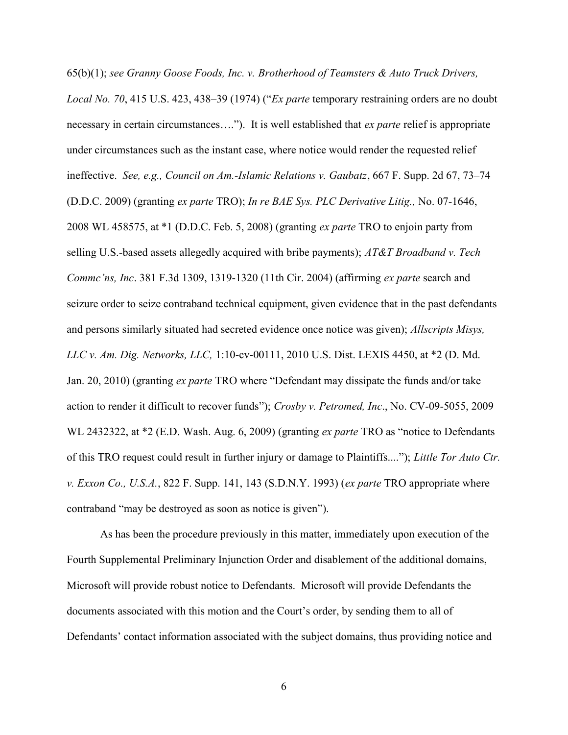65(b)(1); see Granny Goose Foods, Inc. v. Brotherhood of Teamsters & Auto Truck Drivers, Local No. 70, 415 U.S. 423, 438–39 (1974) ("Ex parte temporary restraining orders are no doubt necessary in certain circumstances...."). It is well established that *ex parte* relief is appropriate under circumstances such as the instant case, where notice would render the requested relief ineffective. See, e.g., Council on Am.-Islamic Relations v. Gaubatz, 667 F. Supp. 2d 67, 73–74 (D.D.C. 2009) (granting ex parte TRO); In re BAE Sys. PLC Derivative Litig., No. 07-1646, 2008 WL 458575, at \*1 (D.D.C. Feb. 5, 2008) (granting ex parte TRO to enjoin party from selling U.S.-based assets allegedly acquired with bribe payments);  $AT\&T$  Broadband v. Tech Commc'ns, Inc. 381 F.3d 1309, 1319-1320 (11th Cir. 2004) (affirming ex parte search and seizure order to seize contraband technical equipment, given evidence that in the past defendants and persons similarly situated had secreted evidence once notice was given); Allscripts Misys, LLC v. Am. Dig. Networks, LLC, 1:10-cv-00111, 2010 U.S. Dist. LEXIS 4450, at \*2 (D. Md. Jan. 20, 2010) (granting ex parte TRO where "Defendant may dissipate the funds and/or take action to render it difficult to recover funds"); Crosby v. Petromed, Inc., No. CV-09-5055, 2009 WL 2432322, at \*2 (E.D. Wash. Aug. 6, 2009) (granting *ex parte* TRO as "notice to Defendants of this TRO request could result in further injury or damage to Plaintiffs...."); Little Tor Auto Ctr. v. Exxon Co., U.S.A., 822 F. Supp. 141, 143 (S.D.N.Y. 1993) (ex parte TRO appropriate where contraband "may be destroyed as soon as notice is given").

As has been the procedure previously in this matter, immediately upon execution of the Fourth Supplemental Preliminary Injunction Order and disablement of the additional domains, Microsoft will provide robust notice to Defendants. Microsoft will provide Defendants the documents associated with this motion and the Court's order, by sending them to all of Defendants' contact information associated with the subject domains, thus providing notice and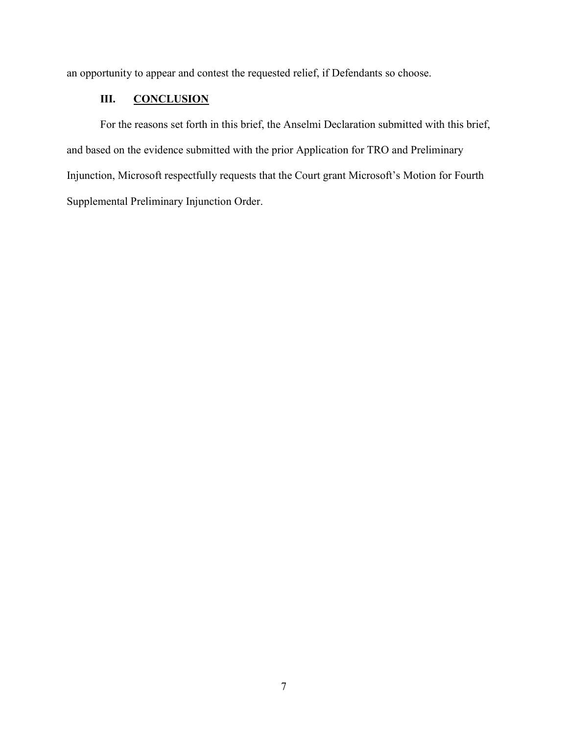an opportunity to appear and contest the requested relief, if Defendants so choose.

# III. CONCLUSION

For the reasons set forth in this brief, the Anselmi Declaration submitted with this brief, and based on the evidence submitted with the prior Application for TRO and Preliminary Injunction, Microsoft respectfully requests that the Court grant Microsoft's Motion for Fourth Supplemental Preliminary Injunction Order.